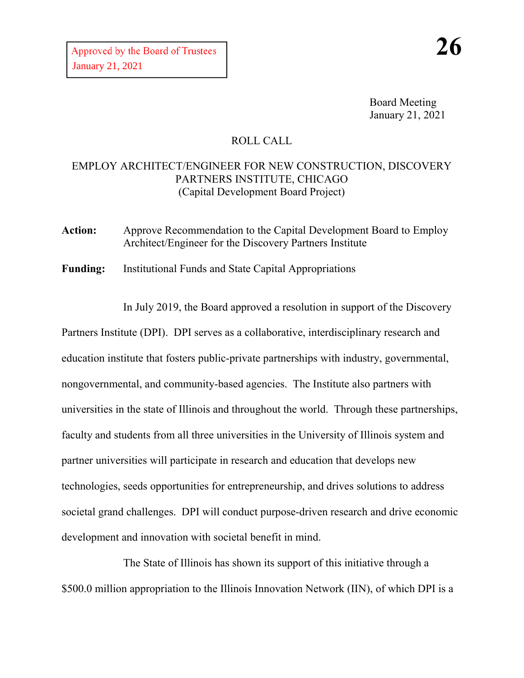Board Meeting January 21, 2021

## ROLL CALL

## EMPLOY ARCHITECT/ENGINEER FOR NEW CONSTRUCTION, DISCOVERY PARTNERS INSTITUTE, CHICAGO (Capital Development Board Project)

**Action:** Approve Recommendation to the Capital Development Board to Employ Architect/Engineer for the Discovery Partners Institute

**Funding:** Institutional Funds and State Capital Appropriations

In July 2019, the Board approved a resolution in support of the Discovery Partners Institute (DPI). DPI serves as a collaborative, interdisciplinary research and education institute that fosters public-private partnerships with industry, governmental, nongovernmental, and community-based agencies. The Institute also partners with universities in the state of Illinois and throughout the world. Through these partnerships, faculty and students from all three universities in the University of Illinois system and partner universities will participate in research and education that develops new technologies, seeds opportunities for entrepreneurship, and drives solutions to address societal grand challenges. DPI will conduct purpose-driven research and drive economic development and innovation with societal benefit in mind.

The State of Illinois has shown its support of this initiative through a \$500.0 million appropriation to the Illinois Innovation Network (IIN), of which DPI is a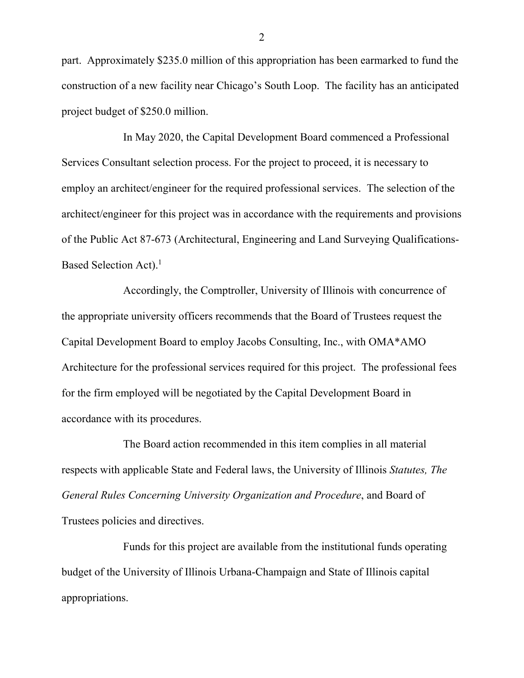part. Approximately \$235.0 million of this appropriation has been earmarked to fund the construction of a new facility near Chicago's South Loop. The facility has an anticipated project budget of \$250.0 million.

In May 2020, the Capital Development Board commenced a Professional Services Consultant selection process. For the project to proceed, it is necessary to employ an architect/engineer for the required professional services. The selection of the architect/engineer for this project was in accordance with the requirements and provisions of the Public Act 87-673 (Architectural, Engineering and Land Surveying Qualifications-Based Selection Act).<sup>1</sup>

Accordingly, the Comptroller, University of Illinois with concurrence of the appropriate university officers recommends that the Board of Trustees request the Capital Development Board to employ Jacobs Consulting, Inc., with OMA\*AMO Architecture for the professional services required for this project. The professional fees for the firm employed will be negotiated by the Capital Development Board in accordance with its procedures.

The Board action recommended in this item complies in all material respects with applicable State and Federal laws, the University of Illinois *Statutes, The General Rules Concerning University Organization and Procedure*, and Board of Trustees policies and directives.

Funds for this project are available from the institutional funds operating budget of the University of Illinois Urbana-Champaign and State of Illinois capital appropriations.

2